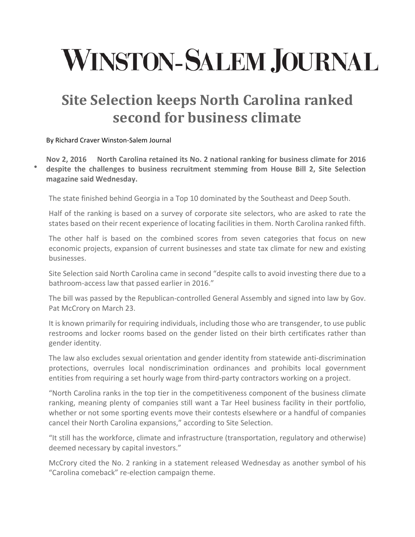## **WINSTON-SALEM JOURNAL**

## **Site Selection keeps North Carolina ranked second for business climate**

By Richard Craver Winston‐Salem Journal

 $\bullet$ 

**Nov 2, 2016 North Carolina retained its No. 2 national ranking for business climate for 2016 despite the challenges to business recruitment stemming from House Bill 2, Site Selection magazine said Wednesday.**

The state finished behind Georgia in a Top 10 dominated by the Southeast and Deep South.

Half of the ranking is based on a survey of corporate site selectors, who are asked to rate the states based on their recent experience of locating facilities in them. North Carolina ranked fifth.

The other half is based on the combined scores from seven categories that focus on new economic projects, expansion of current businesses and state tax climate for new and existing businesses.

Site Selection said North Carolina came in second "despite calls to avoid investing there due to a bathroom-access law that passed earlier in 2016."

The bill was passed by the Republican-controlled General Assembly and signed into law by Gov. Pat McCrory on March 23.

It is known primarily for requiring individuals, including those who are transgender, to use public restrooms and locker rooms based on the gender listed on their birth certificates rather than gender identity.

The law also excludes sexual orientation and gender identity from statewide anti‐discrimination protections, overrules local nondiscrimination ordinances and prohibits local government entities from requiring a set hourly wage from third-party contractors working on a project.

"North Carolina ranks in the top tier in the competitiveness component of the business climate ranking, meaning plenty of companies still want a Tar Heel business facility in their portfolio, whether or not some sporting events move their contests elsewhere or a handful of companies cancel their North Carolina expansions," according to Site Selection.

"It still has the workforce, climate and infrastructure (transportation, regulatory and otherwise) deemed necessary by capital investors."

McCrory cited the No. 2 ranking in a statement released Wednesday as another symbol of his "Carolina comeback" re‐election campaign theme.